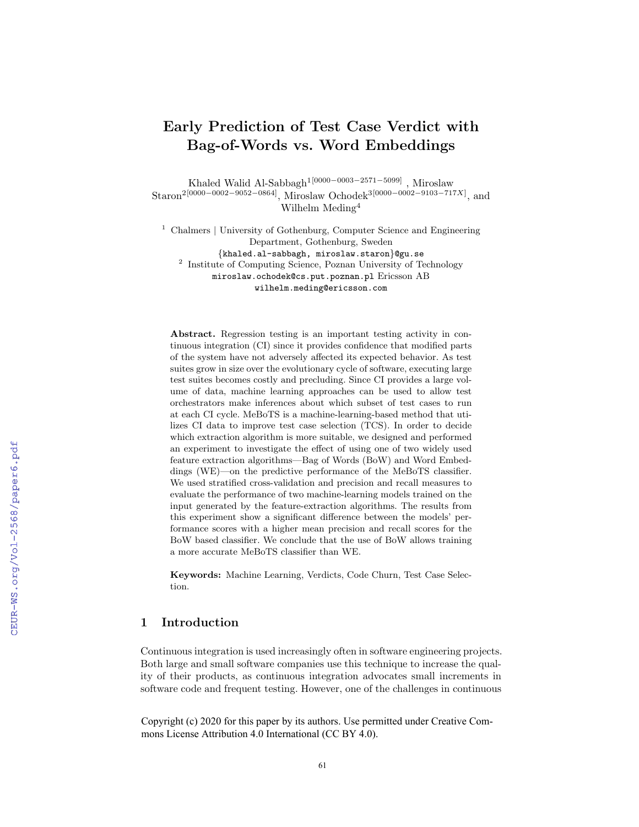# Early Prediction of Test Case Verdict with Bag-of-Words vs. Word Embeddings

Khaled Walid Al-Sabbagh1[0000−0003−2571−5099] , Miroslaw  $\mathrm{Staron}^{2[0000-0002-9052-0864]}, \, \mathrm{Miroslaw\ Ochodek}^{3[0000-0002-9103-717X]}, \, \mathrm{and}$ Wilhelm Meding<sup>4</sup>

<sup>1</sup> Chalmers | University of Gothenburg, Computer Science and Engineering Department, Gothenburg, Sweden {khaled.al-sabbagh, miroslaw.staron}@gu.se <sup>2</sup> Institute of Computing Science, Poznan University of Technology miroslaw.ochodek@cs.put.poznan.pl Ericsson AB wilhelm.meding@ericsson.com

Abstract. Regression testing is an important testing activity in continuous integration (CI) since it provides confidence that modified parts of the system have not adversely affected its expected behavior. As test suites grow in size over the evolutionary cycle of software, executing large test suites becomes costly and precluding. Since CI provides a large volume of data, machine learning approaches can be used to allow test orchestrators make inferences about which subset of test cases to run at each CI cycle. MeBoTS is a machine-learning-based method that utilizes CI data to improve test case selection (TCS). In order to decide which extraction algorithm is more suitable, we designed and performed an experiment to investigate the effect of using one of two widely used feature extraction algorithms—Bag of Words (BoW) and Word Embeddings (WE)—on the predictive performance of the MeBoTS classifier. We used stratified cross-validation and precision and recall measures to evaluate the performance of two machine-learning models trained on the input generated by the feature-extraction algorithms. The results from this experiment show a significant difference between the models' performance scores with a higher mean precision and recall scores for the BoW based classifier. We conclude that the use of BoW allows training a more accurate MeBoTS classifier than WE.

Keywords: Machine Learning, Verdicts, Code Churn, Test Case Selection.

# 1 Introduction

Continuous integration is used increasingly often in software engineering projects. Both large and small software companies use this technique to increase the quality of their products, as continuous integration advocates small increments in software code and frequent testing. However, one of the challenges in continuous

Copyright (c) 2020 for this paper by its authors. Use permitted under Creative Commons License Attribution 4.0 International (CC BY 4.0).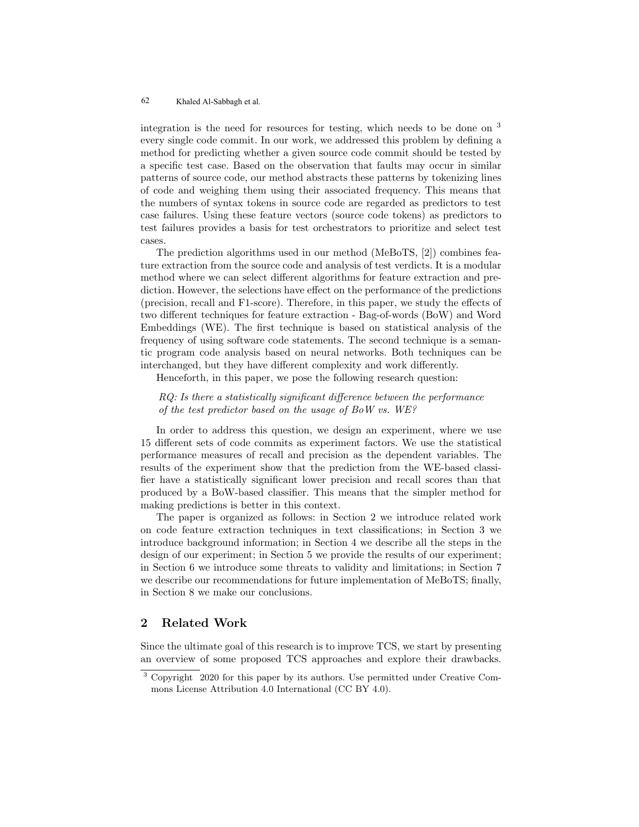integration is the need for resources for testing, which needs to be done on <sup>3</sup> every single code commit. In our work, we addressed this problem by defining a method for predicting whether a given source code commit should be tested by a specific test case. Based on the observation that faults may occur in similar patterns of source code, our method abstracts these patterns by tokenizing lines of code and weighing them using their associated frequency. This means that the numbers of syntax tokens in source code are regarded as predictors to test case failures. Using these feature vectors (source code tokens) as predictors to test failures provides a basis for test orchestrators to prioritize and select test cases.

The prediction algorithms used in our method (MeBoTS, [2]) combines feature extraction from the source code and analysis of test verdicts. It is a modular method where we can select different algorithms for feature extraction and prediction. However, the selections have effect on the performance of the predictions (precision, recall and F1-score). Therefore, in this paper, we study the effects of two different techniques for feature extraction - Bag-of-words (BoW) and Word Embeddings (WE). The first technique is based on statistical analysis of the frequency of using software code statements. The second technique is a semantic program code analysis based on neural networks. Both techniques can be interchanged, but they have different complexity and work differently.

Henceforth, in this paper, we pose the following research question:

RQ: Is there a statistically significant difference between the performance of the test predictor based on the usage of BoW vs. WE?

In order to address this question, we design an experiment, where we use 15 different sets of code commits as experiment factors. We use the statistical performance measures of recall and precision as the dependent variables. The results of the experiment show that the prediction from the WE-based classifier have a statistically significant lower precision and recall scores than that produced by a BoW-based classifier. This means that the simpler method for making predictions is better in this context.

The paper is organized as follows: in Section 2 we introduce related work on code feature extraction techniques in text classifications; in Section 3 we introduce background information; in Section 4 we describe all the steps in the design of our experiment; in Section 5 we provide the results of our experiment; in Section 6 we introduce some threats to validity and limitations; in Section 7 we describe our recommendations for future implementation of MeBoTS; finally, in Section 8 we make our conclusions.

# 2 Related Work

Since the ultimate goal of this research is to improve TCS, we start by presenting an overview of some proposed TCS approaches and explore their drawbacks.

<sup>3</sup> Copyright 2020 for this paper by its authors. Use permitted under Creative Commons License Attribution 4.0 International (CC BY 4.0).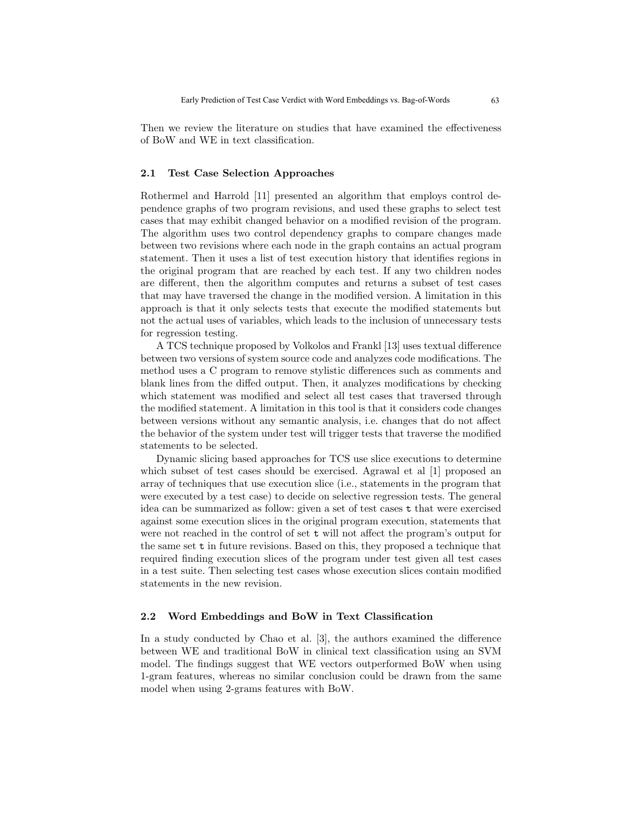Then we review the literature on studies that have examined the effectiveness of BoW and WE in text classification.

#### 2.1 Test Case Selection Approaches

Rothermel and Harrold [11] presented an algorithm that employs control dependence graphs of two program revisions, and used these graphs to select test cases that may exhibit changed behavior on a modified revision of the program. The algorithm uses two control dependency graphs to compare changes made between two revisions where each node in the graph contains an actual program statement. Then it uses a list of test execution history that identifies regions in the original program that are reached by each test. If any two children nodes are different, then the algorithm computes and returns a subset of test cases that may have traversed the change in the modified version. A limitation in this approach is that it only selects tests that execute the modified statements but not the actual uses of variables, which leads to the inclusion of unnecessary tests for regression testing.

A TCS technique proposed by Volkolos and Frankl [13] uses textual difference between two versions of system source code and analyzes code modifications. The method uses a C program to remove stylistic differences such as comments and blank lines from the diffed output. Then, it analyzes modifications by checking which statement was modified and select all test cases that traversed through the modified statement. A limitation in this tool is that it considers code changes between versions without any semantic analysis, i.e. changes that do not affect the behavior of the system under test will trigger tests that traverse the modified statements to be selected.

Dynamic slicing based approaches for TCS use slice executions to determine which subset of test cases should be exercised. Agrawal et al [1] proposed an array of techniques that use execution slice (i.e., statements in the program that were executed by a test case) to decide on selective regression tests. The general idea can be summarized as follow: given a set of test cases t that were exercised against some execution slices in the original program execution, statements that were not reached in the control of set t will not affect the program's output for the same set t in future revisions. Based on this, they proposed a technique that required finding execution slices of the program under test given all test cases in a test suite. Then selecting test cases whose execution slices contain modified statements in the new revision.

#### 2.2 Word Embeddings and BoW in Text Classification

In a study conducted by Chao et al. [3], the authors examined the difference between WE and traditional BoW in clinical text classification using an SVM model. The findings suggest that WE vectors outperformed BoW when using 1-gram features, whereas no similar conclusion could be drawn from the same model when using 2-grams features with BoW.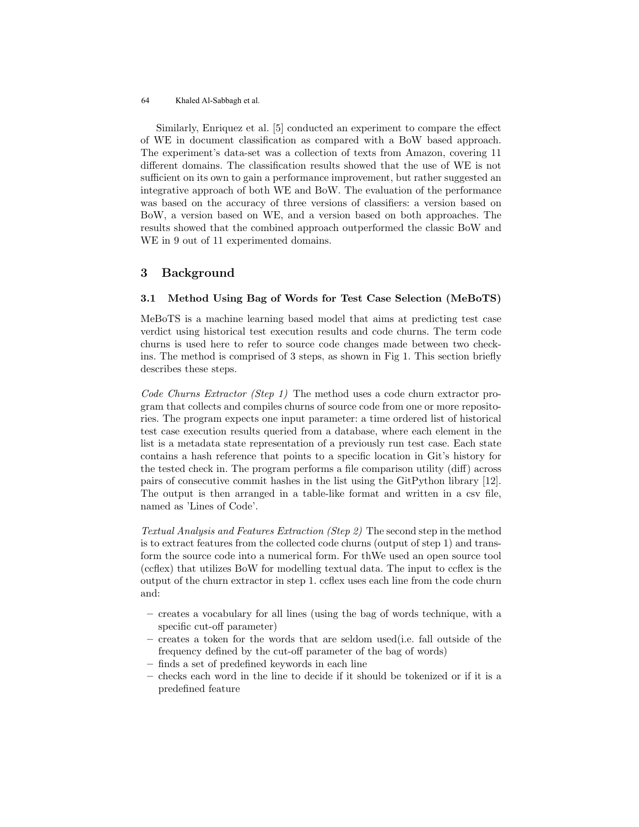Similarly, Enriquez et al. [5] conducted an experiment to compare the effect of WE in document classification as compared with a BoW based approach. The experiment's data-set was a collection of texts from Amazon, covering 11 different domains. The classification results showed that the use of WE is not sufficient on its own to gain a performance improvement, but rather suggested an integrative approach of both WE and BoW. The evaluation of the performance was based on the accuracy of three versions of classifiers: a version based on BoW, a version based on WE, and a version based on both approaches. The results showed that the combined approach outperformed the classic BoW and WE in 9 out of 11 experimented domains.

# 3 Background

#### 3.1 Method Using Bag of Words for Test Case Selection (MeBoTS)

MeBoTS is a machine learning based model that aims at predicting test case verdict using historical test execution results and code churns. The term code churns is used here to refer to source code changes made between two checkins. The method is comprised of 3 steps, as shown in Fig 1. This section briefly describes these steps.

Code Churns Extractor (Step 1) The method uses a code churn extractor program that collects and compiles churns of source code from one or more repositories. The program expects one input parameter: a time ordered list of historical test case execution results queried from a database, where each element in the list is a metadata state representation of a previously run test case. Each state contains a hash reference that points to a specific location in Git's history for the tested check in. The program performs a file comparison utility (diff) across pairs of consecutive commit hashes in the list using the GitPython library [12]. The output is then arranged in a table-like format and written in a csv file, named as 'Lines of Code'.

Textual Analysis and Features Extraction (Step 2) The second step in the method is to extract features from the collected code churns (output of step 1) and transform the source code into a numerical form. For thWe used an open source tool (ccflex) that utilizes BoW for modelling textual data. The input to ccflex is the output of the churn extractor in step 1. ccflex uses each line from the code churn and:

- creates a vocabulary for all lines (using the bag of words technique, with a specific cut-off parameter)
- creates a token for the words that are seldom used(i.e. fall outside of the frequency defined by the cut-off parameter of the bag of words)
- finds a set of predefined keywords in each line
- checks each word in the line to decide if it should be tokenized or if it is a predefined feature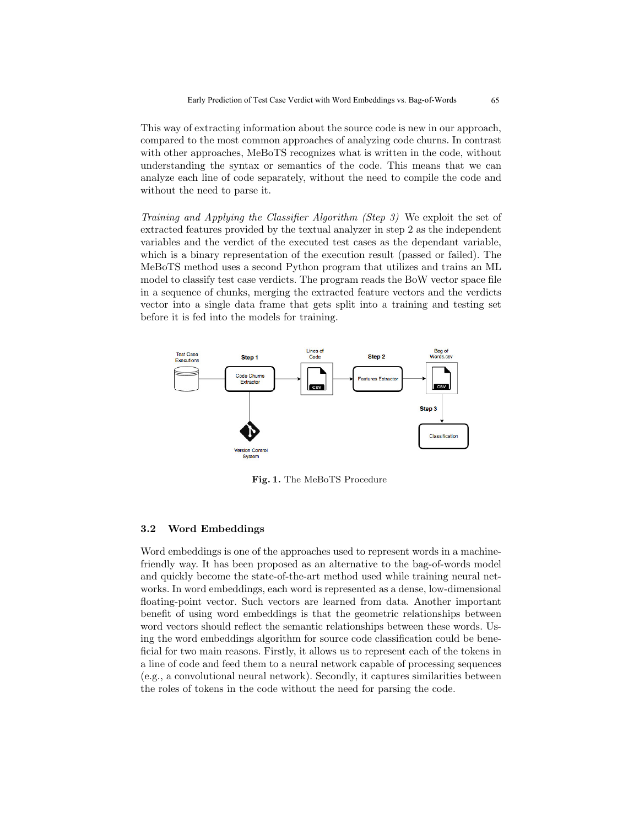This way of extracting information about the source code is new in our approach, compared to the most common approaches of analyzing code churns. In contrast with other approaches, MeBoTS recognizes what is written in the code, without understanding the syntax or semantics of the code. This means that we can analyze each line of code separately, without the need to compile the code and without the need to parse it.

Training and Applying the Classifier Algorithm (Step 3) We exploit the set of extracted features provided by the textual analyzer in step 2 as the independent variables and the verdict of the executed test cases as the dependant variable, which is a binary representation of the execution result (passed or failed). The MeBoTS method uses a second Python program that utilizes and trains an ML model to classify test case verdicts. The program reads the BoW vector space file in a sequence of chunks, merging the extracted feature vectors and the verdicts vector into a single data frame that gets split into a training and testing set before it is fed into the models for training.



Fig. 1. The MeBoTS Procedure

#### 3.2 Word Embeddings

Word embeddings is one of the approaches used to represent words in a machinefriendly way. It has been proposed as an alternative to the bag-of-words model and quickly become the state-of-the-art method used while training neural networks. In word embeddings, each word is represented as a dense, low-dimensional floating-point vector. Such vectors are learned from data. Another important benefit of using word embeddings is that the geometric relationships between word vectors should reflect the semantic relationships between these words. Using the word embeddings algorithm for source code classification could be beneficial for two main reasons. Firstly, it allows us to represent each of the tokens in a line of code and feed them to a neural network capable of processing sequences (e.g., a convolutional neural network). Secondly, it captures similarities between the roles of tokens in the code without the need for parsing the code.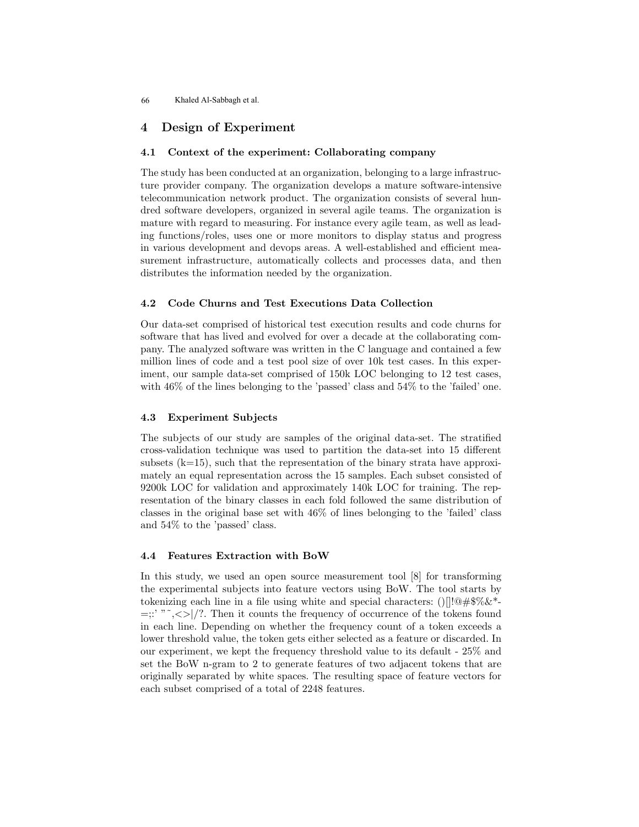# 4 Design of Experiment

### 4.1 Context of the experiment: Collaborating company

The study has been conducted at an organization, belonging to a large infrastructure provider company. The organization develops a mature software-intensive telecommunication network product. The organization consists of several hundred software developers, organized in several agile teams. The organization is mature with regard to measuring. For instance every agile team, as well as leading functions/roles, uses one or more monitors to display status and progress in various development and devops areas. A well-established and efficient measurement infrastructure, automatically collects and processes data, and then distributes the information needed by the organization.

#### 4.2 Code Churns and Test Executions Data Collection

Our data-set comprised of historical test execution results and code churns for software that has lived and evolved for over a decade at the collaborating company. The analyzed software was written in the C language and contained a few million lines of code and a test pool size of over 10k test cases. In this experiment, our sample data-set comprised of 150k LOC belonging to 12 test cases, with 46% of the lines belonging to the 'passed' class and 54% to the 'failed' one.

### 4.3 Experiment Subjects

The subjects of our study are samples of the original data-set. The stratified cross-validation technique was used to partition the data-set into 15 different subsets  $(k=15)$ , such that the representation of the binary strata have approximately an equal representation across the 15 samples. Each subset consisted of 9200k LOC for validation and approximately 140k LOC for training. The representation of the binary classes in each fold followed the same distribution of classes in the original base set with 46% of lines belonging to the 'failed' class and 54% to the 'passed' class.

#### 4.4 Features Extraction with BoW

In this study, we used an open source measurement tool [8] for transforming the experimental subjects into feature vectors using BoW. The tool starts by tokenizing each line in a file using white and special characters: ()[ $\frac{1}{0}$ #\$%&\*- $=$ ::' "~, < > |/?. Then it counts the frequency of occurrence of the tokens found in each line. Depending on whether the frequency count of a token exceeds a lower threshold value, the token gets either selected as a feature or discarded. In our experiment, we kept the frequency threshold value to its default - 25% and set the BoW n-gram to 2 to generate features of two adjacent tokens that are originally separated by white spaces. The resulting space of feature vectors for each subset comprised of a total of 2248 features.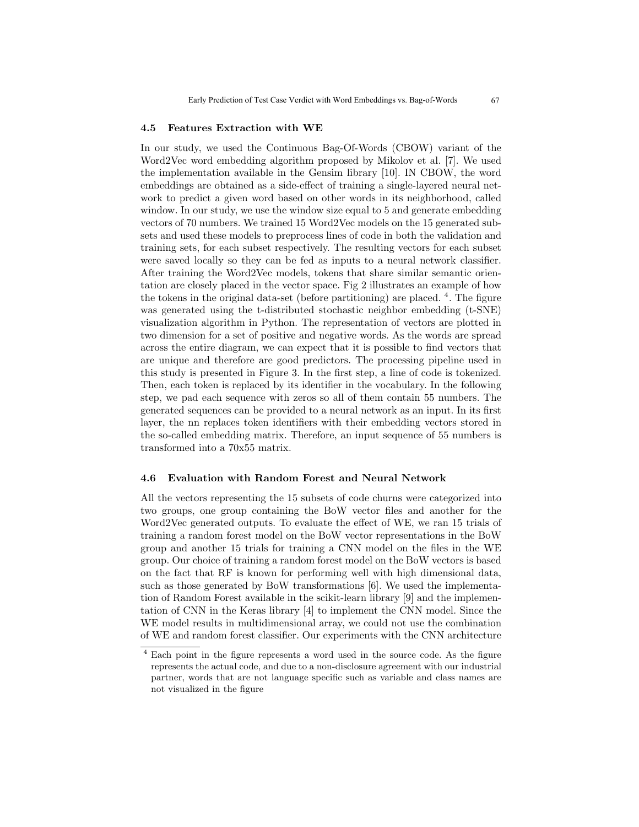#### 4.5 Features Extraction with WE

In our study, we used the Continuous Bag-Of-Words (CBOW) variant of the Word2Vec word embedding algorithm proposed by Mikolov et al. [7]. We used the implementation available in the Gensim library [10]. IN CBOW, the word embeddings are obtained as a side-effect of training a single-layered neural network to predict a given word based on other words in its neighborhood, called window. In our study, we use the window size equal to 5 and generate embedding vectors of 70 numbers. We trained 15 Word2Vec models on the 15 generated subsets and used these models to preprocess lines of code in both the validation and training sets, for each subset respectively. The resulting vectors for each subset were saved locally so they can be fed as inputs to a neural network classifier. After training the Word2Vec models, tokens that share similar semantic orientation are closely placed in the vector space. Fig 2 illustrates an example of how the tokens in the original data-set (before partitioning) are placed. <sup>4</sup>. The figure was generated using the t-distributed stochastic neighbor embedding (t-SNE) visualization algorithm in Python. The representation of vectors are plotted in two dimension for a set of positive and negative words. As the words are spread across the entire diagram, we can expect that it is possible to find vectors that are unique and therefore are good predictors. The processing pipeline used in this study is presented in Figure 3. In the first step, a line of code is tokenized. Then, each token is replaced by its identifier in the vocabulary. In the following step, we pad each sequence with zeros so all of them contain 55 numbers. The generated sequences can be provided to a neural network as an input. In its first layer, the nn replaces token identifiers with their embedding vectors stored in the so-called embedding matrix. Therefore, an input sequence of 55 numbers is transformed into a 70x55 matrix.

#### 4.6 Evaluation with Random Forest and Neural Network

All the vectors representing the 15 subsets of code churns were categorized into two groups, one group containing the BoW vector files and another for the Word2Vec generated outputs. To evaluate the effect of WE, we ran 15 trials of training a random forest model on the BoW vector representations in the BoW group and another 15 trials for training a CNN model on the files in the WE group. Our choice of training a random forest model on the BoW vectors is based on the fact that RF is known for performing well with high dimensional data, such as those generated by BoW transformations [6]. We used the implementation of Random Forest available in the scikit-learn library [9] and the implementation of CNN in the Keras library [4] to implement the CNN model. Since the WE model results in multidimensional array, we could not use the combination of WE and random forest classifier. Our experiments with the CNN architecture

<sup>4</sup> Each point in the figure represents a word used in the source code. As the figure represents the actual code, and due to a non-disclosure agreement with our industrial partner, words that are not language specific such as variable and class names are not visualized in the figure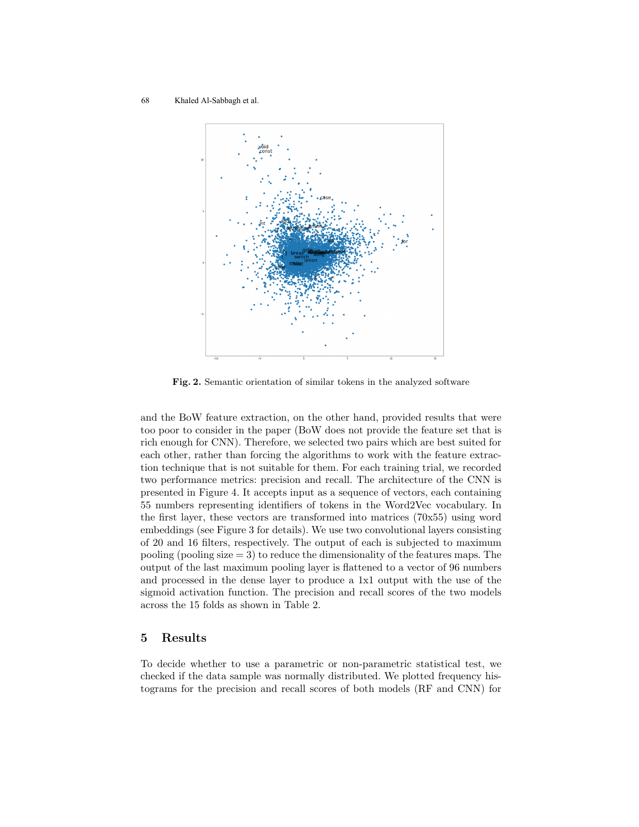

Fig. 2. Semantic orientation of similar tokens in the analyzed software

and the BoW feature extraction, on the other hand, provided results that were too poor to consider in the paper (BoW does not provide the feature set that is rich enough for CNN). Therefore, we selected two pairs which are best suited for each other, rather than forcing the algorithms to work with the feature extraction technique that is not suitable for them. For each training trial, we recorded two performance metrics: precision and recall. The architecture of the CNN is presented in Figure 4. It accepts input as a sequence of vectors, each containing 55 numbers representing identifiers of tokens in the Word2Vec vocabulary. In the first layer, these vectors are transformed into matrices (70x55) using word embeddings (see Figure 3 for details). We use two convolutional layers consisting of 20 and 16 filters, respectively. The output of each is subjected to maximum pooling (pooling size  $= 3$ ) to reduce the dimensionality of the features maps. The output of the last maximum pooling layer is flattened to a vector of 96 numbers and processed in the dense layer to produce a 1x1 output with the use of the sigmoid activation function. The precision and recall scores of the two models across the 15 folds as shown in Table 2.

### 5 Results

To decide whether to use a parametric or non-parametric statistical test, we checked if the data sample was normally distributed. We plotted frequency histograms for the precision and recall scores of both models (RF and CNN) for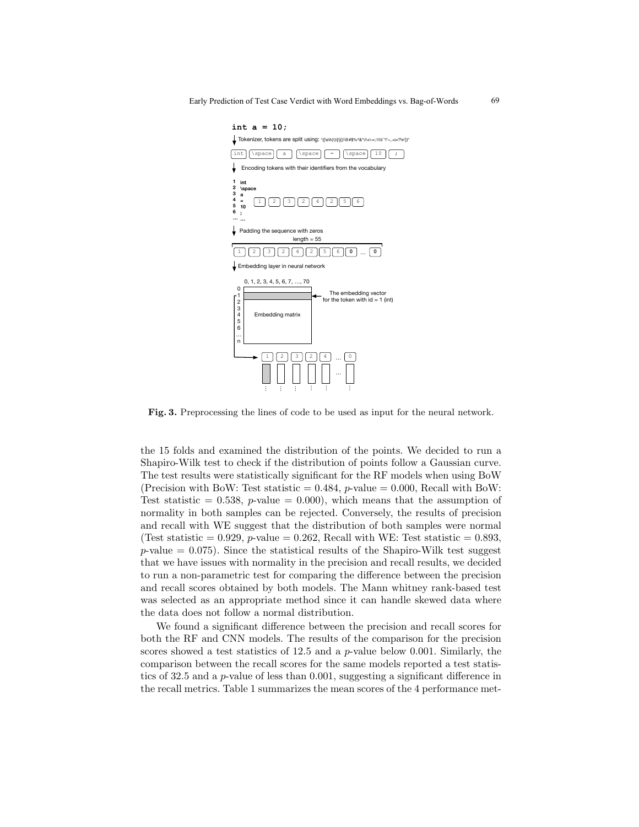69



Fig. 3. Preprocessing the lines of code to be used as input for the neural network.

the 15 folds and examined the distribution of the points. We decided to run a Shapiro-Wilk test to check if the distribution of points follow a Gaussian curve. The test results were statistically significant for the RF models when using BoW (Precision with BoW: Test statistic  $= 0.484$ , *p*-value  $= 0.000$ , Recall with BoW: Test statistic = 0.538, p-value = 0.000), which means that the assumption of normality in both samples can be rejected. Conversely, the results of precision and recall with WE suggest that the distribution of both samples were normal (Test statistic = 0.929,  $p$ -value = 0.262, Recall with WE: Test statistic = 0.893,  $p$ -value = 0.075). Since the statistical results of the Shapiro-Wilk test suggest that we have issues with normality in the precision and recall results, we decided to run a non-parametric test for comparing the difference between the precision and recall scores obtained by both models. The Mann whitney rank-based test was selected as an appropriate method since it can handle skewed data where the data does not follow a normal distribution.

We found a significant difference between the precision and recall scores for both the RF and CNN models. The results of the comparison for the precision scores showed a test statistics of 12.5 and a p-value below 0.001. Similarly, the comparison between the recall scores for the same models reported a test statistics of 32.5 and a p-value of less than 0.001, suggesting a significant difference in the recall metrics. Table 1 summarizes the mean scores of the 4 performance met-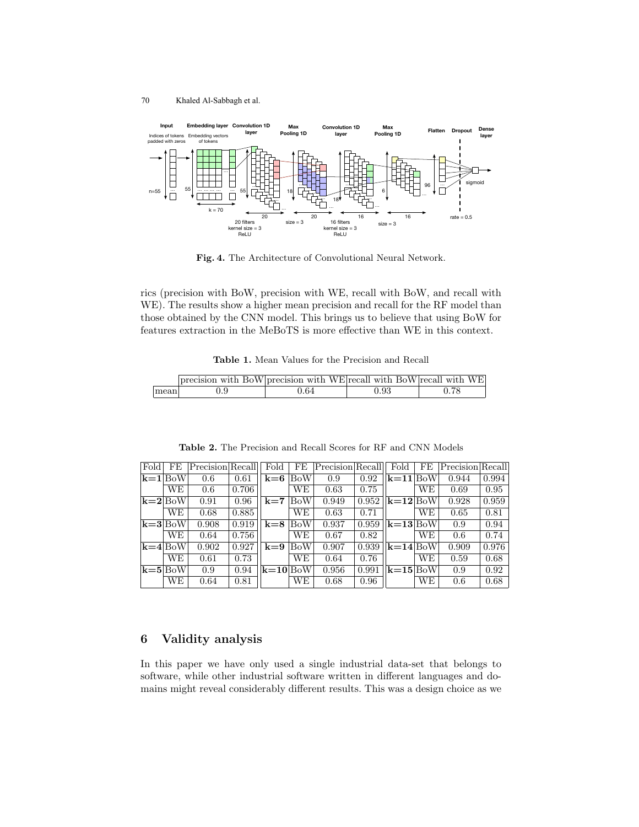

Fig. 4. The Architecture of Convolutional Neural Network.

rics (precision with BoW, precision with WE, recall with BoW, and recall with WE). The results show a higher mean precision and recall for the RF model than those obtained by the CNN model. This brings us to believe that using BoW for features extraction in the MeBoTS is more effective than WE in this context.

| <b>Table 1.</b> Mean Values for the Precision and Recall |
|----------------------------------------------------------|
|----------------------------------------------------------|

|      | precision with BoW precision with WE recall with BoW recall with WE |      |      |      |
|------|---------------------------------------------------------------------|------|------|------|
| mean | 0.9                                                                 | 0.64 | 0.93 | 0.78 |

| Fold                            | FE  | $P$ recision Recall |       | Fold   | FE         | Precision Recall |       | Fold       | FE  | Precision Recall |       |
|---------------------------------|-----|---------------------|-------|--------|------------|------------------|-------|------------|-----|------------------|-------|
| $\mathbf{k} = 1$ BoW            |     | 0.6                 | 0.61  | $k=6$  | <b>BoW</b> | 0.9              | 0.92  | $k=11 BoW$ |     | 0.944            | 0.994 |
|                                 | WЕ  | 0.6                 | 0.706 |        | WЕ         | 0.63             | 0.75  |            | WЕ  | 0.69             | 0.95  |
| $ {\bf k}=2 {\rm BoW} $         |     | 0.91                | 0.96  | $k=7$  | <b>BoW</b> | 0.949            | 0.952 | $k=12$ BoW |     | 0.928            | 0.959 |
|                                 | WE. | 0.68                | 0.885 |        | WЕ         | 0.63             | 0.71  |            | WЕ  | 0.65             | 0.81  |
| $ {\bf k}{=}3 \textrm{BoW} $    |     | 0.908               | 0.919 | $k=8$  | <b>BoW</b> | 0.937            | 0.959 | $k=13$ BoW |     | 0.9              | 0.94  |
|                                 | WЕ  | 0.64                | 0.756 |        | WЕ         | 0.67             | 0.82  |            | WЕ  | 0.6              | 0.74  |
| $ {\bf k}$ =4 $ {\rm BoW} $     |     | 0.902               | 0.927 | $k=9$  | <b>BoW</b> | 0.907            | 0.939 | $k=14$ BoW |     | 0.909            | 0.976 |
|                                 | WE. | 0.61                | 0.73  |        | WE.        | 0.64             | 0.76  |            | WЕ  | 0.59             | 0.68  |
| $ {\bf k}{=}{\bf 5} {\rm BoW} $ |     | 0.9                 | 0.94  | $k=10$ | <b>BoW</b> | 0.956            | 0.991 | $k=15$     | BoW | 0.9              | 0.92  |
|                                 | WЕ  | 0.64                | 0.81  |        | WЕ         | 0.68             | 0.96  |            | WЕ  | 0.6              | 0.68  |

Table 2. The Precision and Recall Scores for RF and CNN Models

# 6 Validity analysis

In this paper we have only used a single industrial data-set that belongs to software, while other industrial software written in different languages and domains might reveal considerably different results. This was a design choice as we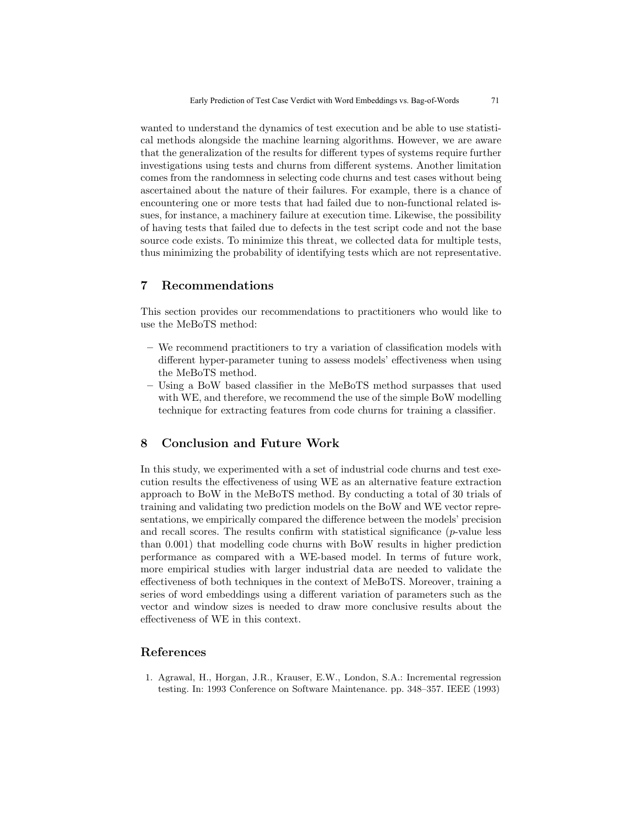wanted to understand the dynamics of test execution and be able to use statistical methods alongside the machine learning algorithms. However, we are aware that the generalization of the results for different types of systems require further investigations using tests and churns from different systems. Another limitation comes from the randomness in selecting code churns and test cases without being ascertained about the nature of their failures. For example, there is a chance of encountering one or more tests that had failed due to non-functional related issues, for instance, a machinery failure at execution time. Likewise, the possibility of having tests that failed due to defects in the test script code and not the base source code exists. To minimize this threat, we collected data for multiple tests, thus minimizing the probability of identifying tests which are not representative.

# 7 Recommendations

This section provides our recommendations to practitioners who would like to use the MeBoTS method:

- We recommend practitioners to try a variation of classification models with different hyper-parameter tuning to assess models' effectiveness when using the MeBoTS method.
- Using a BoW based classifier in the MeBoTS method surpasses that used with WE, and therefore, we recommend the use of the simple BoW modelling technique for extracting features from code churns for training a classifier.

# 8 Conclusion and Future Work

In this study, we experimented with a set of industrial code churns and test execution results the effectiveness of using WE as an alternative feature extraction approach to BoW in the MeBoTS method. By conducting a total of 30 trials of training and validating two prediction models on the BoW and WE vector representations, we empirically compared the difference between the models' precision and recall scores. The results confirm with statistical significance  $(p$ -value less than 0.001) that modelling code churns with BoW results in higher prediction performance as compared with a WE-based model. In terms of future work, more empirical studies with larger industrial data are needed to validate the effectiveness of both techniques in the context of MeBoTS. Moreover, training a series of word embeddings using a different variation of parameters such as the vector and window sizes is needed to draw more conclusive results about the effectiveness of WE in this context.

### References

1. Agrawal, H., Horgan, J.R., Krauser, E.W., London, S.A.: Incremental regression testing. In: 1993 Conference on Software Maintenance. pp. 348–357. IEEE (1993)